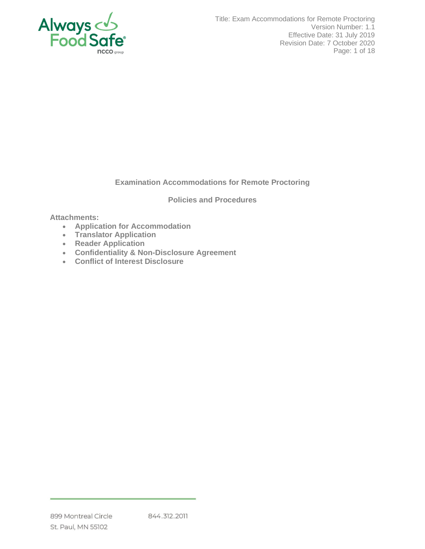

## **Examination Accommodations for Remote Proctoring**

### **Policies and Procedures**

### **Attachments:**

- **Application for Accommodation**
- **Translator Application**
- **Reader Application**
- **Confidentiality & Non-Disclosure Agreement**
- **Conflict of Interest Disclosure**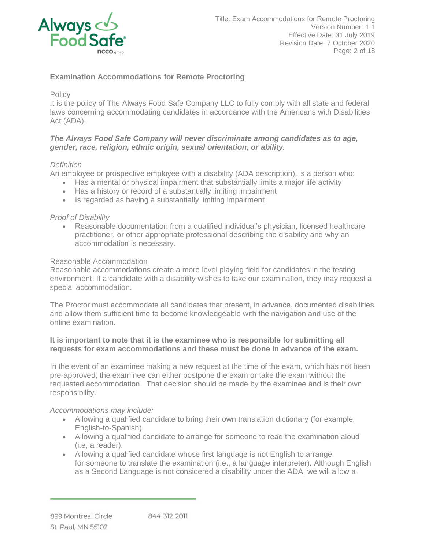

## **Examination Accommodations for Remote Proctoring**

### Policy

It is the policy of The Always Food Safe Company LLC to fully comply with all state and federal laws concerning accommodating candidates in accordance with the Americans with Disabilities Act (ADA).

### *The Always Food Safe Company will never discriminate among candidates as to age, gender, race, religion, ethnic origin, sexual orientation, or ability.*

## *Definition*

An employee or prospective employee with a disability (ADA description), is a person who:

- Has a mental or physical impairment that substantially limits a major life activity
- Has a history or record of a substantially limiting impairment
- Is regarded as having a substantially limiting impairment

### *Proof of Disability*

• Reasonable documentation from a qualified individual's physician, licensed healthcare practitioner, or other appropriate professional describing the disability and why an accommodation is necessary.

#### Reasonable Accommodation

Reasonable accommodations create a more level playing field for candidates in the testing environment. If a candidate with a disability wishes to take our examination, they may request a special accommodation.

The Proctor must accommodate all candidates that present, in advance, documented disabilities and allow them sufficient time to become knowledgeable with the navigation and use of the online examination.

### **It is important to note that it is the examinee who is responsible for submitting all requests for exam accommodations and these must be done in advance of the exam.**

In the event of an examinee making a new request at the time of the exam, which has not been pre-approved, the examinee can either postpone the exam or take the exam without the requested accommodation. That decision should be made by the examinee and is their own responsibility.

#### *Accommodations may include:*

- Allowing a qualified candidate to bring their own translation dictionary (for example, English-to-Spanish).
- Allowing a qualified candidate to arrange for someone to read the examination aloud (i.e, a reader).
- Allowing a qualified candidate whose first language is not English to arrange for someone to translate the examination (i.e., a language interpreter). Although English as a Second Language is not considered a disability under the ADA, we will allow a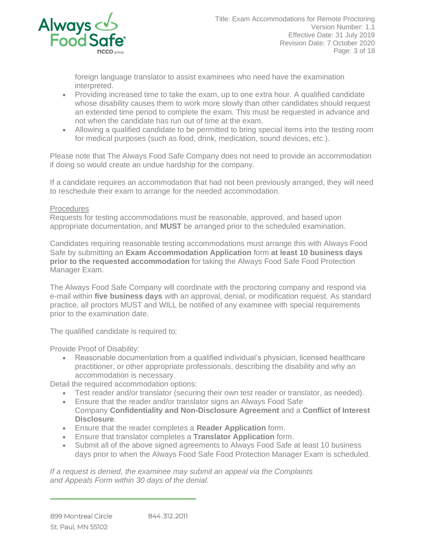

foreign language translator to assist examinees who need have the examination interpreted.

- Providing increased time to take the exam, up to one extra hour. A qualified candidate whose disability causes them to work more slowly than other candidates should request an extended time period to complete the exam. This must be requested in advance and not when the candidate has run out of time at the exam.
- Allowing a qualified candidate to be permitted to bring special items into the testing room for medical purposes (such as food, drink, medication, sound devices, etc.).

Please note that The Always Food Safe Company does not need to provide an accommodation if doing so would create an undue hardship for the company.

If a candidate requires an accommodation that had not been previously arranged, they will need to reschedule their exam to arrange for the needed accommodation.

## **Procedures**

Requests for testing accommodations must be reasonable, approved, and based upon appropriate documentation, and **MUST** be arranged prior to the scheduled examination.

Candidates requiring reasonable testing accommodations must arrange this with Always Food Safe by submitting an **Exam Accommodation Application** form **at least 10 business days prior to the requested accommodation** for taking the Always Food Safe Food Protection Manager Exam.

The Always Food Safe Company will coordinate with the proctoring company and respond via e-mail within **five business days** with an approval, denial, or modification request. As standard practice, all proctors MUST and WILL be notified of any examinee with special requirements prior to the examination date.

The qualified candidate is required to:

Provide Proof of Disability:

• Reasonable documentation from a qualified individual's physician, licensed healthcare practitioner, or other appropriate professionals, describing the disability and why an accommodation is necessary.

Detail the required accommodation options:

- Test reader and/or translator (securing their own test reader or translator, as needed).
- Ensure that the reader and/or translator signs an Always Food Safe Company **Confidentiality and Non-Disclosure Agreement** and a **Conflict of Interest Disclosure**.
- Ensure that the reader completes a **Reader Application** form.
- Ensure that translator completes a **Translator Application** form.
- Submit all of the above signed agreements to Always Food Safe at least 10 business days prior to when the Always Food Safe Food Protection Manager Exam is scheduled.

*If a request is denied, the examinee may submit an appeal via the Complaints and Appeals Form within 30 days of the denial.*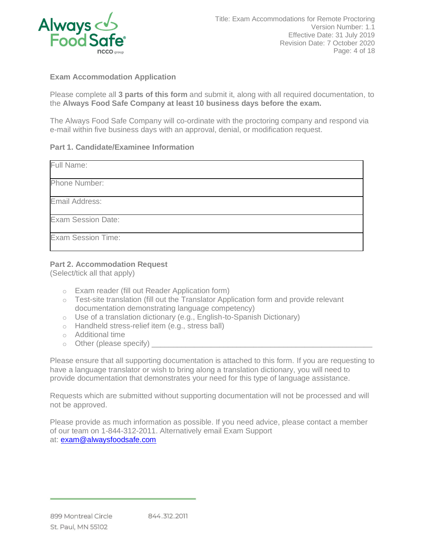

## **Exam Accommodation Application**

Please complete all **3 parts of this form** and submit it, along with all required documentation, to the **Always Food Safe Company at least 10 business days before the exam.**

The Always Food Safe Company will co-ordinate with the proctoring company and respond via e-mail within five business days with an approval, denial, or modification request.

### **Part 1. Candidate/Examinee Information**

| Full Name:                |  |
|---------------------------|--|
| Phone Number:             |  |
| Email Address:            |  |
| <b>Exam Session Date:</b> |  |
| <b>Exam Session Time:</b> |  |

## **Part 2. Accommodation Request**

(Select/tick all that apply)

- o Exam reader (fill out Reader Application form)
- o Test-site translation (fill out the Translator Application form and provide relevant documentation demonstrating language competency)
- o Use of a translation dictionary (e.g., English-to-Spanish Dictionary)
- o Handheld stress-relief item (e.g., stress ball)
- o Additional time
- $\circ$  Other (please specify)

Please ensure that all supporting documentation is attached to this form. If you are requesting to have a language translator or wish to bring along a translation dictionary, you will need to provide documentation that demonstrates your need for this type of language assistance.

Requests which are submitted without supporting documentation will not be processed and will not be approved.

Please provide as much information as possible. If you need advice, please contact a member of our team on 1-844-312-2011. Alternatively email Exam Support at: [exam@alwaysfoodsafe.com](mailto:exam@alwaysfoodsafe.com)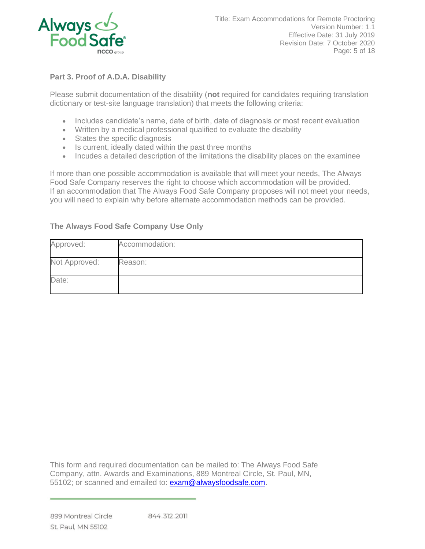

# **Part 3. Proof of A.D.A. Disability**

Please submit documentation of the disability (**not** required for candidates requiring translation dictionary or test-site language translation) that meets the following criteria:

- Includes candidate's name, date of birth, date of diagnosis or most recent evaluation
- Written by a medical professional qualified to evaluate the disability
- States the specific diagnosis
- Is current, ideally dated within the past three months
- Incudes a detailed description of the limitations the disability places on the examinee

If more than one possible accommodation is available that will meet your needs, The Always Food Safe Company reserves the right to choose which accommodation will be provided. If an accommodation that The Always Food Safe Company proposes will not meet your needs, you will need to explain why before alternate accommodation methods can be provided.

# **The Always Food Safe Company Use Only**

| Approved:     | Accommodation: |
|---------------|----------------|
| Not Approved: | Reason:        |
| Date:         |                |

This form and required documentation can be mailed to: The Always Food Safe Company, attn. Awards and Examinations, 889 Montreal Circle, St. Paul, MN, 55102; or scanned and emailed to: [exam@alwaysfoodsafe.com.](mailto:exam@alwaysfoodsafe.com)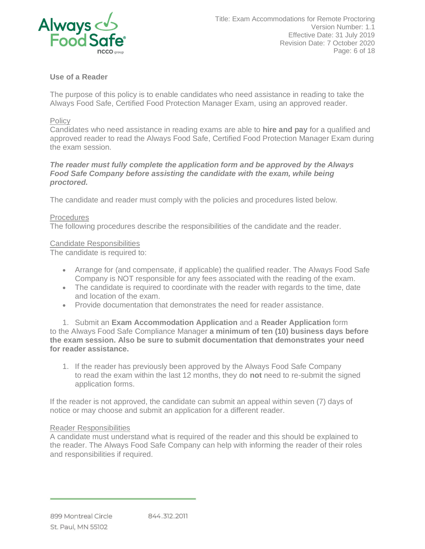

## **Use of a Reader**

The purpose of this policy is to enable candidates who need assistance in reading to take the Always Food Safe, Certified Food Protection Manager Exam, using an approved reader.

### **Policy**

Candidates who need assistance in reading exams are able to **hire and pay** for a qualified and approved reader to read the Always Food Safe, Certified Food Protection Manager Exam during the exam session.

### *The reader must fully complete the application form and be approved by the Always Food Safe Company before assisting the candidate with the exam, while being proctored.*

The candidate and reader must comply with the policies and procedures listed below.

### **Procedures**

The following procedures describe the responsibilities of the candidate and the reader.

#### Candidate Responsibilities

The candidate is required to:

- Arrange for (and compensate, if applicable) the qualified reader. The Always Food Safe Company is NOT responsible for any fees associated with the reading of the exam.
- The candidate is required to coordinate with the reader with regards to the time, date and location of the exam.
- Provide documentation that demonstrates the need for reader assistance.

1. Submit an **Exam Accommodation Application** and a **Reader Application** form to the Always Food Safe Compliance Manager **a minimum of ten (10) business days before the exam session. Also be sure to submit documentation that demonstrates your need for reader assistance.**

1. If the reader has previously been approved by the Always Food Safe Company to read the exam within the last 12 months, they do **not** need to re-submit the signed application forms.

If the reader is not approved, the candidate can submit an appeal within seven (7) days of notice or may choose and submit an application for a different reader.

#### Reader Responsibilities

A candidate must understand what is required of the reader and this should be explained to the reader. The Always Food Safe Company can help with informing the reader of their roles and responsibilities if required.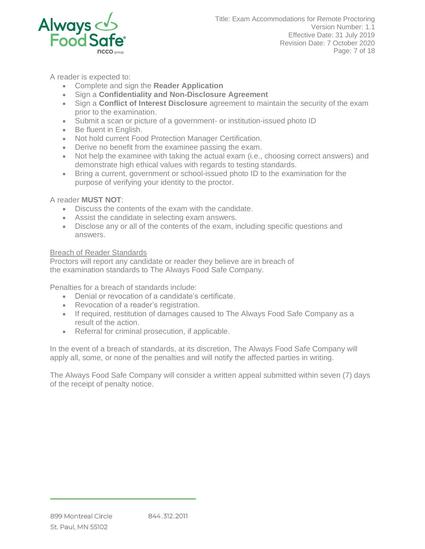

A reader is expected to:

- Complete and sign the **Reader Application**
- Sign a **Confidentiality and Non-Disclosure Agreement**
- Sign a **Conflict of Interest Disclosure** agreement to maintain the security of the exam prior to the examination.
- Submit a scan or picture of a government- or institution-issued photo ID
- Be fluent in English.
- Not hold current Food Protection Manager Certification.
- Derive no benefit from the examinee passing the exam.
- Not help the examinee with taking the actual exam (i.e., choosing correct answers) and demonstrate high ethical values with regards to testing standards.
- Bring a current, government or school-issued photo ID to the examination for the purpose of verifying your identity to the proctor.

A reader **MUST NOT**:

- Discuss the contents of the exam with the candidate.
- Assist the candidate in selecting exam answers.
- Disclose any or all of the contents of the exam, including specific questions and answers.

### Breach of Reader Standards

Proctors will report any candidate or reader they believe are in breach of the examination standards to The Always Food Safe Company.

Penalties for a breach of standards include:

- Denial or revocation of a candidate's certificate.
- Revocation of a reader's registration.
- If required, restitution of damages caused to The Always Food Safe Company as a result of the action.
- Referral for criminal prosecution, if applicable.

In the event of a breach of standards, at its discretion, The Always Food Safe Company will apply all, some, or none of the penalties and will notify the affected parties in writing.

The Always Food Safe Company will consider a written appeal submitted within seven (7) days of the receipt of penalty notice.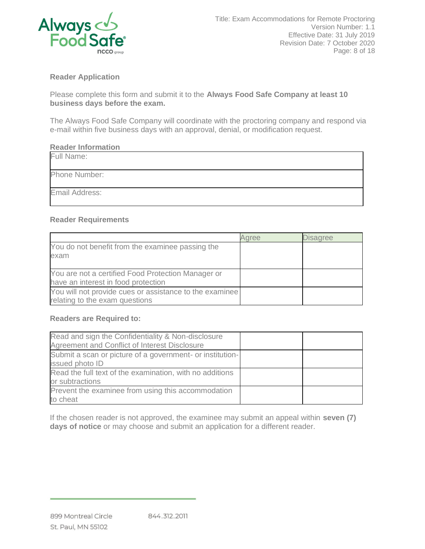

## **Reader Application**

Please complete this form and submit it to the **Always Food Safe Company at least 10 business days before the exam.**

The Always Food Safe Company will coordinate with the proctoring company and respond via e-mail within five business days with an approval, denial, or modification request.

### **Reader Information**

| Full Name:     |  |
|----------------|--|
| Phone Number:  |  |
| Email Address: |  |

## **Reader Requirements**

|                                                                                           | aree | <b>Disagree</b> |
|-------------------------------------------------------------------------------------------|------|-----------------|
| You do not benefit from the examinee passing the<br>exam                                  |      |                 |
| You are not a certified Food Protection Manager or<br>have an interest in food protection |      |                 |
| You will not provide cues or assistance to the examinee<br>relating to the exam questions |      |                 |

## **Readers are Required to:**

| Read and sign the Confidentiality & Non-disclosure<br>Agreement and Conflict of Interest Disclosure |  |
|-----------------------------------------------------------------------------------------------------|--|
| Submit a scan or picture of a government- or institution-<br>issued photo ID                        |  |
| Read the full text of the examination, with no additions<br>or subtractions                         |  |
| Prevent the examinee from using this accommodation<br>to cheat                                      |  |

If the chosen reader is not approved, the examinee may submit an appeal within **seven (7) days of notice** or may choose and submit an application for a different reader.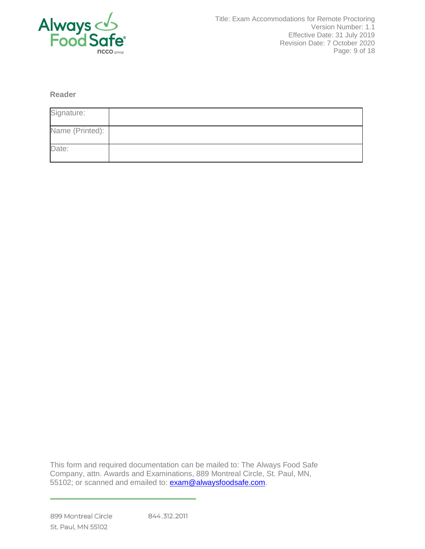

**Reader**

| Signature:      |  |
|-----------------|--|
| Name (Printed): |  |
| Date:           |  |

This form and required documentation can be mailed to: The Always Food Safe Company, attn. Awards and Examinations, 889 Montreal Circle, St. Paul, MN, 55102; or scanned and emailed to: [exam@alwaysfoodsafe.com.](mailto:exam@alwaysfoodsafe.com)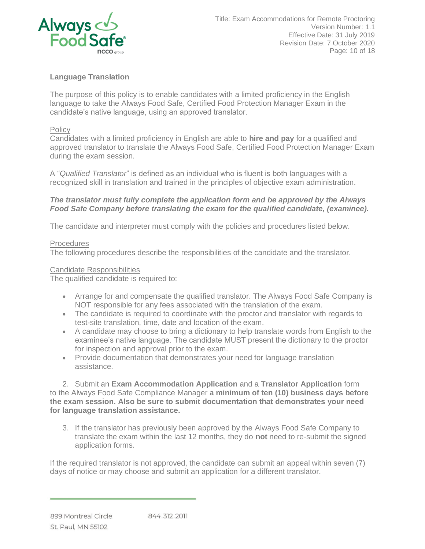

# **Language Translation**

The purpose of this policy is to enable candidates with a limited proficiency in the English language to take the Always Food Safe, Certified Food Protection Manager Exam in the candidate's native language, using an approved translator.

### **Policy**

Candidates with a limited proficiency in English are able to **hire and pay** for a qualified and approved translator to translate the Always Food Safe, Certified Food Protection Manager Exam during the exam session.

A "*Qualified Translator*" is defined as an individual who is fluent is both languages with a recognized skill in translation and trained in the principles of objective exam administration.

### *The translator must fully complete the application form and be approved by the Always Food Safe Company before translating the exam for the qualified candidate, (examinee).*

The candidate and interpreter must comply with the policies and procedures listed below.

### **Procedures**

The following procedures describe the responsibilities of the candidate and the translator.

### Candidate Responsibilities

The qualified candidate is required to:

- Arrange for and compensate the qualified translator. The Always Food Safe Company is NOT responsible for any fees associated with the translation of the exam.
- The candidate is required to coordinate with the proctor and translator with regards to test-site translation, time, date and location of the exam.
- A candidate may choose to bring a dictionary to help translate words from English to the examinee's native language. The candidate MUST present the dictionary to the proctor for inspection and approval prior to the exam.
- Provide documentation that demonstrates your need for language translation assistance.

2. Submit an **Exam Accommodation Application** and a **Translator Application** form to the Always Food Safe Compliance Manager **a minimum of ten (10) business days before the exam session. Also be sure to submit documentation that demonstrates your need for language translation assistance.**

3. If the translator has previously been approved by the Always Food Safe Company to translate the exam within the last 12 months, they do **not** need to re-submit the signed application forms.

If the required translator is not approved, the candidate can submit an appeal within seven (7) days of notice or may choose and submit an application for a different translator.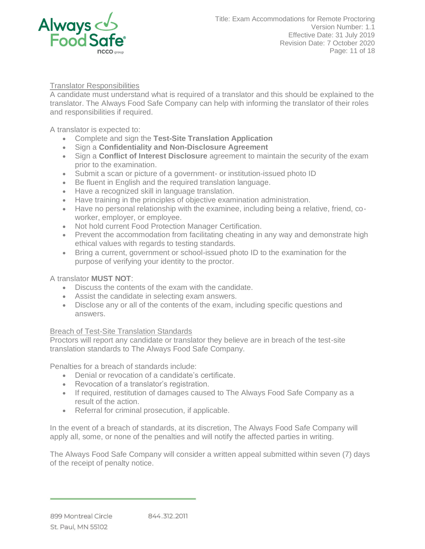

## Translator Responsibilities

A candidate must understand what is required of a translator and this should be explained to the translator. The Always Food Safe Company can help with informing the translator of their roles and responsibilities if required.

A translator is expected to:

- Complete and sign the **Test-Site Translation Application**
- Sign a **Confidentiality and Non-Disclosure Agreement**
- Sign a **Conflict of Interest Disclosure** agreement to maintain the security of the exam prior to the examination.
- Submit a scan or picture of a government- or institution-issued photo ID
- Be fluent in English and the required translation language.
- Have a recognized skill in language translation.
- Have training in the principles of objective examination administration.
- Have no personal relationship with the examinee, including being a relative, friend, coworker, employer, or employee.
- Not hold current Food Protection Manager Certification.
- Prevent the accommodation from facilitating cheating in any way and demonstrate high ethical values with regards to testing standards.
- Bring a current, government or school-issued photo ID to the examination for the purpose of verifying your identity to the proctor.

## A translator **MUST NOT**:

- Discuss the contents of the exam with the candidate.
- Assist the candidate in selecting exam answers.
- Disclose any or all of the contents of the exam, including specific questions and answers.

## Breach of Test-Site Translation Standards

Proctors will report any candidate or translator they believe are in breach of the test-site translation standards to The Always Food Safe Company.

Penalties for a breach of standards include:

- Denial or revocation of a candidate's certificate.
- Revocation of a translator's registration.
- If required, restitution of damages caused to The Always Food Safe Company as a result of the action.
- Referral for criminal prosecution, if applicable.

In the event of a breach of standards, at its discretion, The Always Food Safe Company will apply all, some, or none of the penalties and will notify the affected parties in writing.

The Always Food Safe Company will consider a written appeal submitted within seven (7) days of the receipt of penalty notice.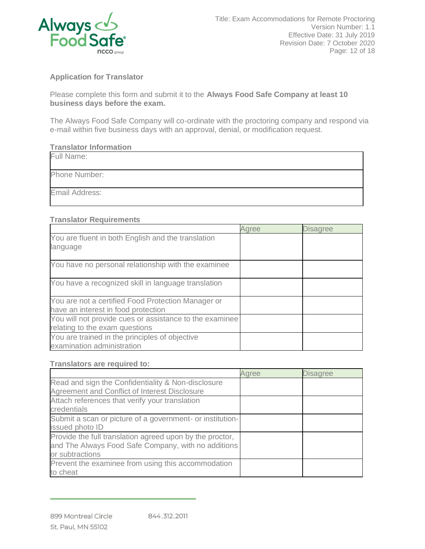

# **Application for Translator**

Please complete this form and submit it to the **Always Food Safe Company at least 10 business days before the exam.**

The Always Food Safe Company will co-ordinate with the proctoring company and respond via e-mail within five business days with an approval, denial, or modification request.

#### **Translator Information**

| Full Name:     |  |
|----------------|--|
| Phone Number:  |  |
| Email Address: |  |

## **Translator Requirements**

|                                                         | Agree | <b>Disagree</b> |
|---------------------------------------------------------|-------|-----------------|
| You are fluent in both English and the translation      |       |                 |
| language                                                |       |                 |
| You have no personal relationship with the examinee     |       |                 |
| You have a recognized skill in language translation     |       |                 |
| You are not a certified Food Protection Manager or      |       |                 |
| have an interest in food protection                     |       |                 |
| You will not provide cues or assistance to the examinee |       |                 |
| relating to the exam questions                          |       |                 |
| You are trained in the principles of objective          |       |                 |
| examination administration                              |       |                 |

#### **Translators are required to:**

|                                                           | Agree | <b>Disagree</b> |
|-----------------------------------------------------------|-------|-----------------|
| Read and sign the Confidentiality & Non-disclosure        |       |                 |
| Agreement and Conflict of Interest Disclosure             |       |                 |
| Attach references that verify your translation            |       |                 |
| credentials                                               |       |                 |
| Submit a scan or picture of a government- or institution- |       |                 |
| issued photo ID                                           |       |                 |
| Provide the full translation agreed upon by the proctor,  |       |                 |
| and The Always Food Safe Company, with no additions       |       |                 |
| or subtractions                                           |       |                 |
| Prevent the examinee from using this accommodation        |       |                 |
| to cheat                                                  |       |                 |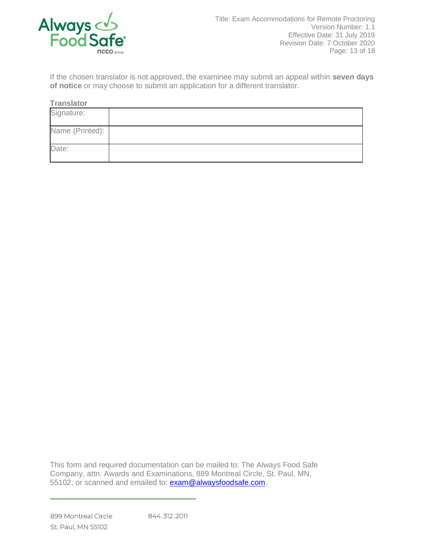

If the chosen translator is not approved, the examinee may submit an appeal within **seven days of notice** or may choose to submit an application for a different translator.

**Translator**

| Signature:      |  |
|-----------------|--|
| Name (Printed): |  |
| Date:           |  |

This form and required documentation can be mailed to: The Always Food Safe Company, attn. Awards and Examinations, 889 Montreal Circle, St. Paul, MN, 55102; or scanned and emailed to: [exam@alwaysfoodsafe.com.](mailto:exam@alwaysfoodsafe.com)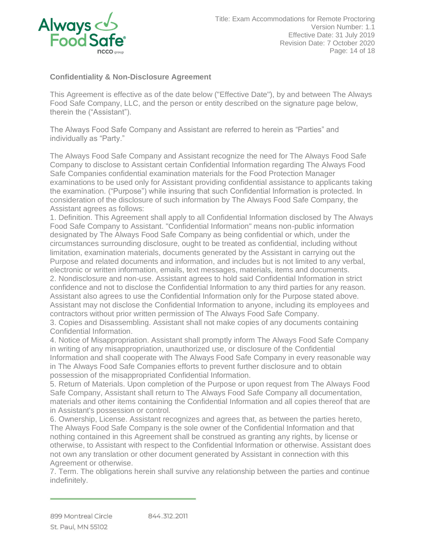

# **Confidentiality & Non-Disclosure Agreement**

This Agreement is effective as of the date below ("Effective Date"), by and between The Always Food Safe Company, LLC, and the person or entity described on the signature page below, therein the ("Assistant").

The Always Food Safe Company and Assistant are referred to herein as "Parties" and individually as "Party."

The Always Food Safe Company and Assistant recognize the need for The Always Food Safe Company to disclose to Assistant certain Confidential Information regarding The Always Food Safe Companies confidential examination materials for the Food Protection Manager examinations to be used only for Assistant providing confidential assistance to applicants taking the examination. ("Purpose") while insuring that such Confidential Information is protected. In consideration of the disclosure of such information by The Always Food Safe Company, the Assistant agrees as follows:

1. Definition. This Agreement shall apply to all Confidential Information disclosed by The Always Food Safe Company to Assistant. "Confidential Information" means non-public information designated by The Always Food Safe Company as being confidential or which, under the circumstances surrounding disclosure, ought to be treated as confidential, including without limitation, examination materials, documents generated by the Assistant in carrying out the Purpose and related documents and information, and includes but is not limited to any verbal, electronic or written information, emails, text messages, materials, items and documents.

2. Nondisclosure and non-use. Assistant agrees to hold said Confidential Information in strict confidence and not to disclose the Confidential Information to any third parties for any reason. Assistant also agrees to use the Confidential Information only for the Purpose stated above. Assistant may not disclose the Confidential Information to anyone, including its employees and contractors without prior written permission of The Always Food Safe Company.

3. Copies and Disassembling. Assistant shall not make copies of any documents containing Confidential Information.

4. Notice of Misappropriation. Assistant shall promptly inform The Always Food Safe Company in writing of any misappropriation, unauthorized use, or disclosure of the Confidential Information and shall cooperate with The Always Food Safe Company in every reasonable way in The Always Food Safe Companies efforts to prevent further disclosure and to obtain possession of the misappropriated Confidential Information.

5. Return of Materials. Upon completion of the Purpose or upon request from The Always Food Safe Company, Assistant shall return to The Always Food Safe Company all documentation, materials and other items containing the Confidential Information and all copies thereof that are in Assistant's possession or control.

6. Ownership, License. Assistant recognizes and agrees that, as between the parties hereto, The Always Food Safe Company is the sole owner of the Confidential Information and that nothing contained in this Agreement shall be construed as granting any rights, by license or otherwise, to Assistant with respect to the Confidential Information or otherwise. Assistant does not own any translation or other document generated by Assistant in connection with this Agreement or otherwise.

7. Term. The obligations herein shall survive any relationship between the parties and continue indefinitely.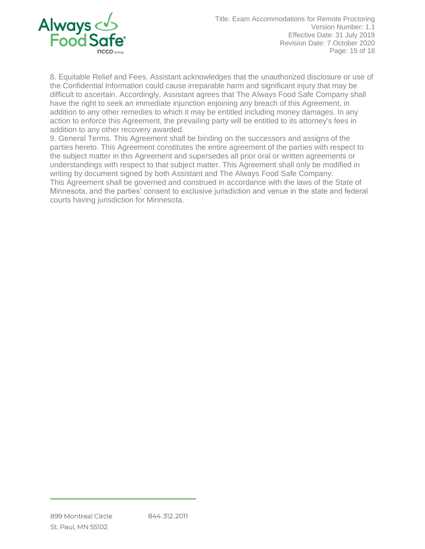

8. Equitable Relief and Fees. Assistant acknowledges that the unauthorized disclosure or use of the Confidential Information could cause irreparable harm and significant injury that may be difficult to ascertain. Accordingly, Assistant agrees that The Always Food Safe Company shall have the right to seek an immediate injunction enjoining any breach of this Agreement, in addition to any other remedies to which it may be entitled including money damages. In any action to enforce this Agreement, the prevailing party will be entitled to its attorney's fees in addition to any other recovery awarded.

9. General Terms. This Agreement shall be binding on the successors and assigns of the parties hereto. This Agreement constitutes the entire agreement of the parties with respect to the subject matter in this Agreement and supersedes all prior oral or written agreements or understandings with respect to that subject matter. This Agreement shall only be modified in writing by document signed by both Assistant and The Always Food Safe Company. This Agreement shall be governed and construed in accordance with the laws of the State of Minnesota, and the parties' consent to exclusive jurisdiction and venue in the state and federal courts having jurisdiction for Minnesota.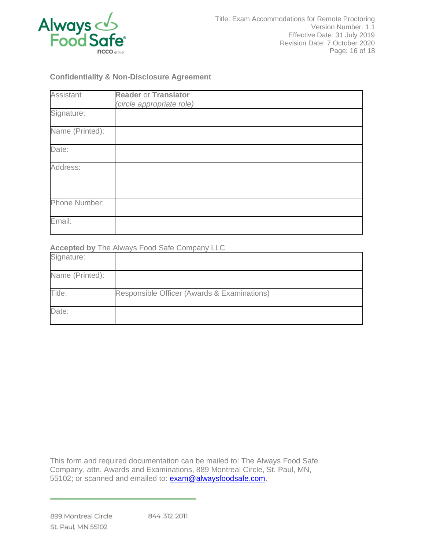

## **Confidentiality & Non-Disclosure Agreement**

| <b>Assistant</b> | <b>Reader or Translator</b> |
|------------------|-----------------------------|
|                  | (circle appropriate role)   |
| Signature:       |                             |
| Name (Printed):  |                             |
| Date:            |                             |
| Address:         |                             |
| Phone Number:    |                             |
| Email:           |                             |

## **Accepted by** The Always Food Safe Company LLC

| Signature:      |                                             |
|-----------------|---------------------------------------------|
| Name (Printed): |                                             |
| Title:          | Responsible Officer (Awards & Examinations) |
| Date:           |                                             |

This form and required documentation can be mailed to: The Always Food Safe Company, attn. Awards and Examinations, 889 Montreal Circle, St. Paul, MN, 55102; or scanned and emailed to: [exam@alwaysfoodsafe.com.](mailto:exam@alwaysfoodsafe.com)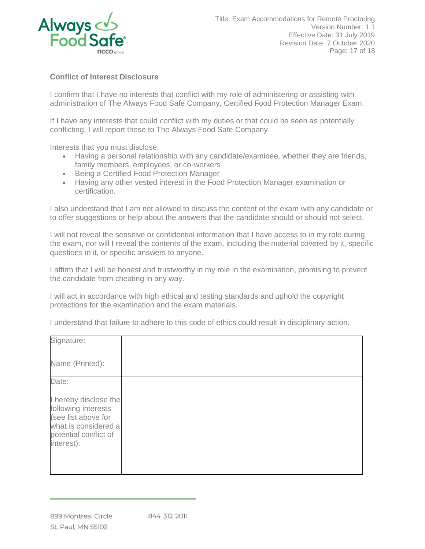

# **Conflict of Interest Disclosure**

I confirm that I have no interests that conflict with my role of administering or assisting with administration of The Always Food Safe Company, Certified Food Protection Manager Exam.

If I have any interests that could conflict with my duties or that could be seen as potentially conflicting, I will report these to The Always Food Safe Company.

Interests that you must disclose:

- Having a personal relationship with any candidate/examinee, whether they are friends, family members, employees, or co-workers
- Being a Certified Food Protection Manager
- Having any other vested interest in the Food Protection Manager examination or certification.

I also understand that I am not allowed to discuss the content of the exam with any candidate or to offer suggestions or help about the answers that the candidate should or should not select.

I will not reveal the sensitive or confidential information that I have access to in my role during the exam, nor will I reveal the contents of the exam, including the material covered by it, specific questions in it, or specific answers to anyone.

I affirm that I will be honest and trustworthy in my role in the examination, promising to prevent the candidate from cheating in any way.

I will act in accordance with high ethical and testing standards and uphold the copyright protections for the examination and the exam materials.

I understand that failure to adhere to this code of ethics could result in disciplinary action.

| Signature:<br>Name (Printed):                                                                                                      |  |
|------------------------------------------------------------------------------------------------------------------------------------|--|
|                                                                                                                                    |  |
| Date:                                                                                                                              |  |
| I hereby disclose the<br>following interests<br>(see list above for<br>what is considered a<br>potential conflict of<br>interest): |  |